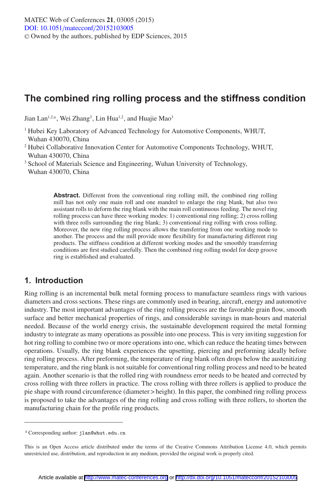# **The combined ring rolling process and the stiffness condition**

Jian Lan<sup>1,2,a</sup>, Wei Zhang<sup>3</sup>, Lin Hua<sup>1,2</sup>, and Huajie Mao<sup>3</sup>

- <sup>1</sup> Hubei Key Laboratory of Advanced Technology for Automotive Components, WHUT, Wuhan 430070, China
- <sup>2</sup> Hubei Collaborative Innovation Center for Automotive Components Technology, WHUT, Wuhan 430070, China
- <sup>3</sup> School of Materials Science and Engineering, Wuhan University of Technology, Wuhan 430070, China

Abstract. Different from the conventional ring rolling mill, the combined ring rolling mill has not only one main roll and one mandrel to enlarge the ring blank, but also two assistant rolls to deform the ring blank with the main roll continuous feeding. The novel ring rolling process can have three working modes: 1) conventional ring rolling; 2) cross rolling with three rolls surrounding the ring blank; 3) conventional ring rolling with cross rolling. Moreover, the new ring rolling process allows the transferring from one working mode to another. The process and the mill provide more flexibility for manufacturing different ring products. The stiffness condition at different working modes and the smoothly transferring conditions are first studied carefully. Then the combined ring rolling model for deep groove ring is established and evaluated.

## **1. Introduction**

Ring rolling is an incremental bulk metal forming process to manufacture seamless rings with various diameters and cross sections. These rings are commonly used in bearing, aircraft, energy and automotive industry. The most important advantages of the ring rolling process are the favorable grain flow, smooth surface and better mechanical properties of rings, and considerable savings in man-hours and material needed. Because of the world energy crisis, the sustainable development required the metal forming industry to integrate as many operations as possible into one process. This is very inviting suggestion for hot ring rolling to combine two or more operations into one, which can reduce the heating times between operations. Usually, the ring blank experiences the upsetting, piercing and preforming ideally before ring rolling process. After preforming, the temperature of ring blank often drops below the austenitizing temperature, and the ring blank is not suitable for conventional ring rolling process and need to be heated again. Another scenario is that the rolled ring with roundness error needs to be heated and corrected by cross rolling with three rollers in practice. The cross rolling with three rollers is applied to produce the pie shape with round circumference (diameter > height). In this paper, the combined ring rolling process is proposed to take the advantages of the ring rolling and cross rolling with three rollers, to shorten the manufacturing chain for the profile ring products.

<sup>a</sup> Corresponding author: jlan@whut.edu.cn

This is an Open Access article distributed under the terms of the Creative Commons Attribution License 4.0, which permits unrestricted use, distribution, and reproduction in any medium, provided the original work is properly cited.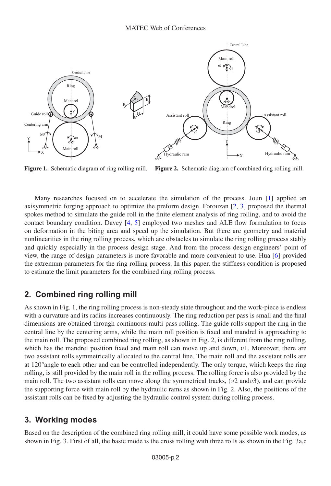

**Figure 1.** Schematic diagram of ring rolling mill. **Figure 2.** Schematic diagram of combined ring rolling mill.

Many researches focused on to accelerate the simulation of the process. Joun [\[1\]](#page-4-0) applied an axisymmetric forging approach to optimize the preform design. Forouzan [\[2](#page-4-1), [3\]](#page-4-2) proposed the thermal spokes method to simulate the guide roll in the finite element analysis of ring rolling, and to avoid the contact boundary condition. Davey [\[4,](#page-5-0) [5\]](#page-5-1) employed two meshes and ALE flow formulation to focus on deformation in the biting area and speed up the simulation. But there are geometry and material nonlinearities in the ring rolling process, which are obstacles to simulate the ring rolling process stably and quickly especially in the process design stage. And from the process design engineers' point of view, the range of design parameters is more favorable and more convenient to use. Hua [\[6\]](#page-5-2) provided the extremum parameters for the ring rolling process. In this paper, the stiffness condition is proposed to estimate the limit parameters for the combined ring rolling process.

# **2. Combined ring rolling mill**

As shown in Fig. 1, the ring rolling process is non-steady state throughout and the work-piece is endless with a curvature and its radius increases continuously. The ring reduction per pass is small and the final dimensions are obtained through continuous multi-pass rolling. The guide rolls support the ring in the central line by the centering arms, while the main roll position is fixed and mandrel is approaching to the main roll. The proposed combined ring rolling, as shown in Fig. 2, is different from the ring rolling, which has the mandrel position fixed and main roll can move up and down,  $v1$ . Moreover, there are two assistant rolls symmetrically allocated to the central line. The main roll and the assistant rolls are at 120°angle to each other and can be controlled independently. The only torque, which keeps the ring rolling, is still provided by the main roll in the rolling process. The rolling force is also provided by the main roll. The two assistant rolls can move along the symmetrical tracks,  $(v2 \text{ and } v3)$ , and can provide the supporting force with main roll by the hydraulic rams as shown in Fig. 2. Also, the positions of the assistant rolls can be fixed by adjusting the hydraulic control system during rolling process.

## **3. Working modes**

Based on the description of the combined ring rolling mill, it could have some possible work modes, as shown in Fig. 3. First of all, the basic mode is the cross rolling with three rolls as shown in the Fig. 3a,c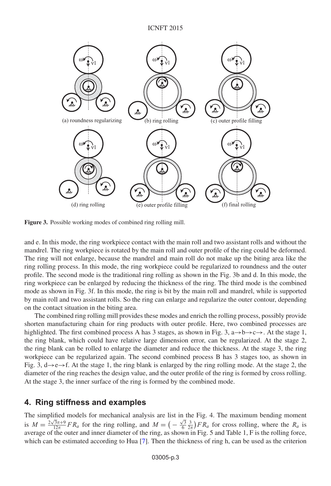

**Figure 3.** Possible working modes of combined ring rolling mill.

and e. In this mode, the ring workpiece contact with the main roll and two assistant rolls and without the mandrel. The ring workpiece is rotated by the main roll and outer profile of the ring could be deformed. The ring will not enlarge, because the mandrel and main roll do not make up the biting area like the ring rolling process. In this mode, the ring workpiece could be regularized to roundness and the outer profile. The second mode is the traditional ring rolling as shown in the Fig. 3b and d. In this mode, the ring workpiece can be enlarged by reducing the thickness of the ring. The third mode is the combined mode as shown in Fig. 3f. In this mode, the ring is bit by the main roll and mandrel, while is supported by main roll and two assistant rolls. So the ring can enlarge and regularize the outer contour, depending on the contact situation in the biting area.

The combined ring rolling mill provides these modes and enrich the rolling process, possibly provide shorten manufacturing chain for ring products with outer profile. Here, two combined processes are highlighted. The first combined process A has 3 stages, as shown in Fig. 3,  $a \rightarrow b \rightarrow c \rightarrow$ . At the stage 1, the ring blank, which could have relative large dimension error, can be regularized. At the stage 2, the ring blank can be rolled to enlarge the diameter and reduce the thickness. At the stage 3, the ring workpiece can be regularized again. The second combined process B has 3 stages too, as shown in Fig. 3,  $d \rightarrow e \rightarrow f$ . At the stage 1, the ring blank is enlarged by the ring rolling mode. At the stage 2, the diameter of the ring reaches the design value, and the outer profile of the ring is formed by cross rolling. At the stage 3, the inner surface of the ring is formed by the combined mode.

#### **4. Ring stiffness and examples**

The simplified models for mechanical analysis are list in the Fig. 4. The maximum bending moment is  $M = \frac{2\sqrt{3}\pi+9}{12\pi}FR_a$  for the ring rolling, and  $M = \left(-\frac{\sqrt{3}}{6} \frac{3}{2\pi}\right)FR_a$  for cross rolling, where the  $R_a$  is average of the outer and inner diameter of the ring, as shown in Fig. 5 and Table 1, F is the rolling force, which can be estimated according to Hua [\[7\]](#page-5-3). Then the thickness of ring h, can be used as the criterion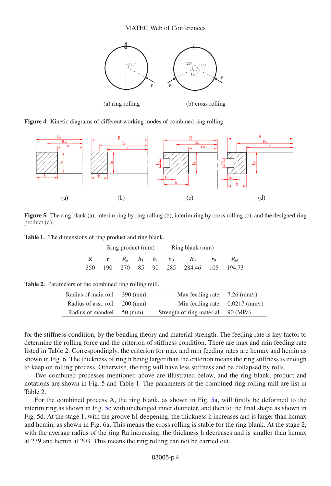

<span id="page-3-0"></span>**Figure 4.** Kinetic diagrams of different working modes of combined ring rolling.



**Figure 5.** The ring blank (a), interim ring by ring rolling (b), interim ring by cross rolling (c), and the designed ring product (d).

|  | Table 1. The dimensions of ring product and ring blank. |  |  |  |  |  |
|--|---------------------------------------------------------|--|--|--|--|--|
|--|---------------------------------------------------------|--|--|--|--|--|

|     | Ring product (mm) |       |       |                | Ring blank (mm) |                   |       |          |
|-----|-------------------|-------|-------|----------------|-----------------|-------------------|-------|----------|
|     |                   | $R_a$ | $h_1$ | h <sub>1</sub> | $b_0$           | Ko.               | $r_0$ | $R_{a0}$ |
| 350 | 190               | 2.70  | 85    |                |                 | 90 285 284.46 105 |       | 194.73   |

**Table 2.** Parameters of the combined ring rolling mill.

| Radius of main roll  | $390 \, (mm)$ | Max feeding rate $7.26 \text{ (mm/r)}$ |  |
|----------------------|---------------|----------------------------------------|--|
| Radius of asst. roll | $200$ (mm)    | Min feeding rate $0.0217$ (mm/r)       |  |
| Radius of mandrel    | $50 \, (mm)$  | Strength of ring material 90 (MPa)     |  |

for the stiffness condition, by the bending theory and material strength. The feeding rate is key factor to determine the rolling force and the criterion of stiffness condition. There are max and min feeding rate listed in Table 2. Correspondingly, the criterion for max and min feeding rates are hcmax and hcmin as shown in Fig. 6. The thickness of ring h being larger than the criterion means the ring stiffness is enough to keep on rolling process. Otherwise, the ring will have less stiffness and be collapsed by rolls.

Two combined processes mentioned above are illustrated below, and the ring blank, product and notations are shown in Fig. 5 and Table 1. The parameters of the combined ring rolling mill are list in Table 2.

For the combined process A, the ring blank, as shown in Fig. [5a](#page-3-0), will firstly be deformed to the interim ring as shown in Fig. [5c](#page-3-0) with unchanged inner diameter, and then to the final shape as shown in Fig. 5d. At the stage 1, with the groove h1 deepening, the thickness h increases and is larger than hcmax and hcmin, as shown in Fig. 6a. This means the cross rolling is stable for the ring blank. At the stage 2, with the average radius of the ring Ra increasing, the thickness h decreases and is smaller than hcmax at 239 and hcmin at 203. This means the ring rolling can not be carried out.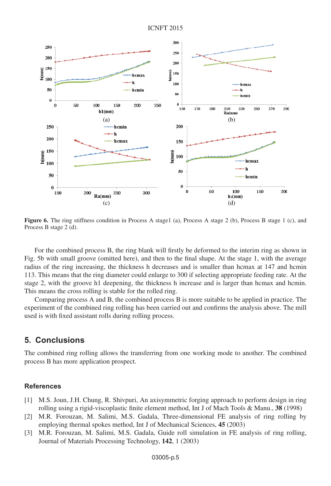



**Figure 6.** The ring stiffness condition in Process A stage1 (a), Process A stage 2 (b), Process B stage 1 (c), and Process B stage 2 (d).

For the combined process B, the ring blank will firstly be deformed to the interim ring as shown in Fig. 5b with small groove (omitted here), and then to the final shape. At the stage 1, with the average radius of the ring increasing, the thickness h decreases and is smaller than hcmax at 147 and hcmin 113. This means that the ring diameter could enlarge to 300 if selecting appropriate feeding rate. At the stage 2, with the groove h1 deepening, the thickness h increase and is larger than hcmax and hcmin. This means the cross rolling is stable for the rolled ring.

Comparing process A and B, the combined process B is more suitable to be applied in practice. The experiment of the combined ring rolling has been carried out and confirms the analysis above. The mill used is with fixed assistant rolls during rolling process.

#### **5. Conclusions**

The combined ring rolling allows the transferring from one working mode to another. The combined process B has more application prospect.

#### **References**

- <span id="page-4-0"></span>[1] M.S. Joun, J.H. Chung, R. Shivpuri, An axisymmetric forging approach to perform design in ring rolling using a rigid-viscoplastic finite element method, Int J of Mach Tools & Manu., **38** (1998)
- <span id="page-4-1"></span>[2] M.R. Forouzan, M. Salimi, M.S. Gadala, Three-dimensional FE analysis of ring rolling by employing thermal spokes method, Int J of Mechanical Sciences, **45** (2003)
- <span id="page-4-2"></span>[3] M.R. Forouzan, M. Salimi, M.S. Gadala, Guide roll simulation in FE analysis of ring rolling, Journal of Materials Processing Technology, **142**, 1 (2003)